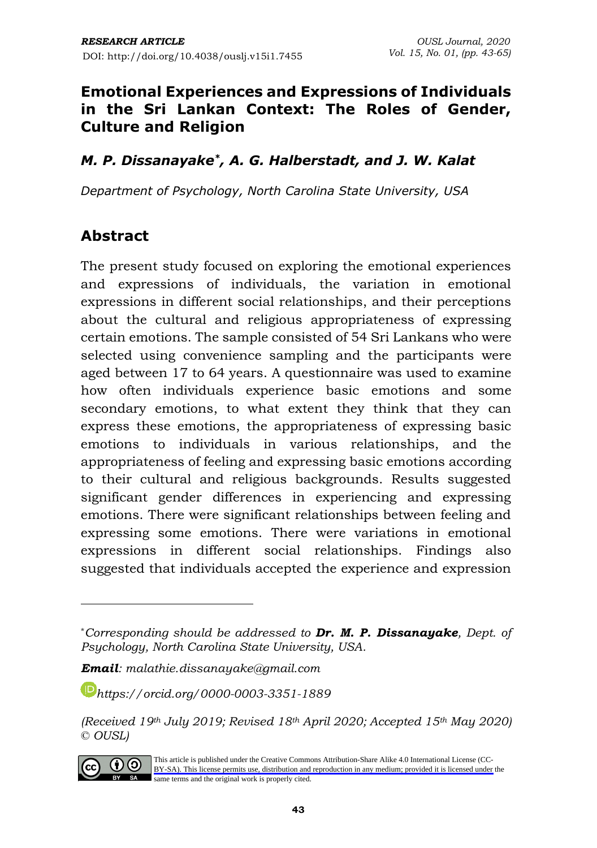## **Emotional Experiences and Expressions of Individuals in the Sri Lankan Context: The Roles of Gender, Culture and Religion**

*M. P. Dissanayake\* , A. G. Halberstadt, and J. W. Kalat*

*Department of Psychology, North Carolina State University, USA*

# **Abstract**

The present study focused on exploring the emotional experiences and expressions of individuals, the variation in emotional expressions in different social relationships, and their perceptions about the cultural and religious appropriateness of expressing certain emotions. The sample consisted of 54 Sri Lankans who were selected using convenience sampling and the participants were aged between 17 to 64 years. A questionnaire was used to examine how often individuals experience basic emotions and some secondary emotions, to what extent they think that they can express these emotions, the appropriateness of expressing basic emotions to individuals in various relationships, and the appropriateness of feeling and expressing basic emotions according to their cultural and religious backgrounds. Results suggested significant gender differences in experiencing and expressing emotions. There were significant relationships between feeling and expressing some emotions. There were variations in emotional expressions in different social relationships. Findings also suggested that individuals accepted the experience and expression

*Email: malathie.dissanayake@gmail.com* 

*[https://orcid.org/0](https://orcid.org/)000-0003-3351-1889* 

*<sup>(</sup>Received 19th July 2019; Revised 18th April 2020; Accepted 15th May 2020) © OUSL)* 



This article is published under the Creative Commons Attribution-Share Alike 4.0 International License (CC-[BY-SA\). This license permits use, distribution and reproduction in any medium; provided it is licensed under](https://creativecommons.org/licenses/by-sa/4.0/) the same terms and the original work is properly cited.

<sup>\*</sup>*Corresponding should be addressed to Dr. M. P. Dissanayake, Dept. of Psychology, North Carolina State University, USA.*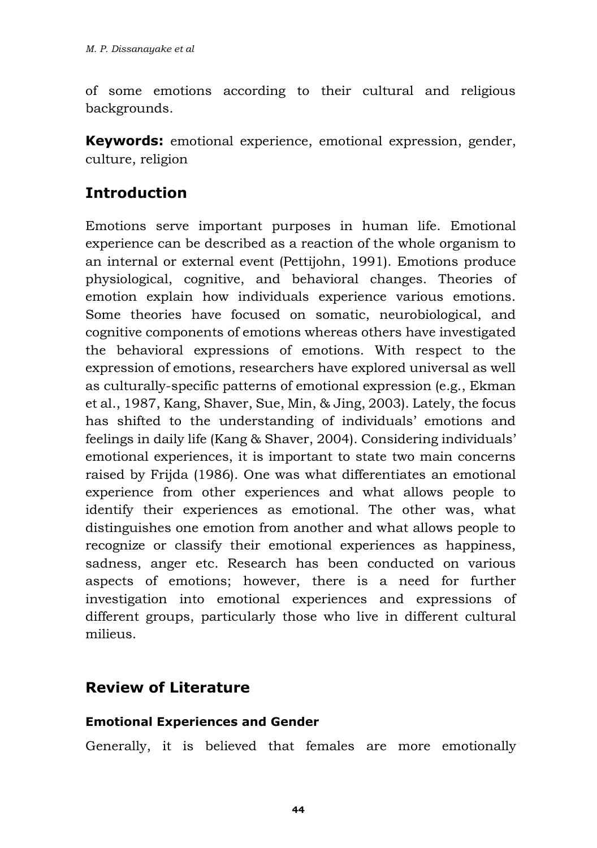of some emotions according to their cultural and religious backgrounds.

**Keywords:** emotional experience, emotional expression, gender, culture, religion

# **Introduction**

Emotions serve important purposes in human life. Emotional experience can be described as a reaction of the whole organism to an internal or external event (Pettijohn, 1991). Emotions produce physiological, cognitive, and behavioral changes. Theories of emotion explain how individuals experience various emotions. Some theories have focused on somatic, neurobiological, and cognitive components of emotions whereas others have investigated the behavioral expressions of emotions. With respect to the expression of emotions, researchers have explored universal as well as culturally-specific patterns of emotional expression (e.g., Ekman et al., 1987, Kang, Shaver, Sue, Min, & Jing, 2003). Lately, the focus has shifted to the understanding of individuals' emotions and feelings in daily life (Kang & Shaver, 2004). Considering individuals' emotional experiences, it is important to state two main concerns raised by Frijda (1986). One was what differentiates an emotional experience from other experiences and what allows people to identify their experiences as emotional. The other was, what distinguishes one emotion from another and what allows people to recognize or classify their emotional experiences as happiness, sadness, anger etc. Research has been conducted on various aspects of emotions; however, there is a need for further investigation into emotional experiences and expressions of different groups, particularly those who live in different cultural milieus.

## **Review of Literature**

### **Emotional Experiences and Gender**

Generally, it is believed that females are more emotionally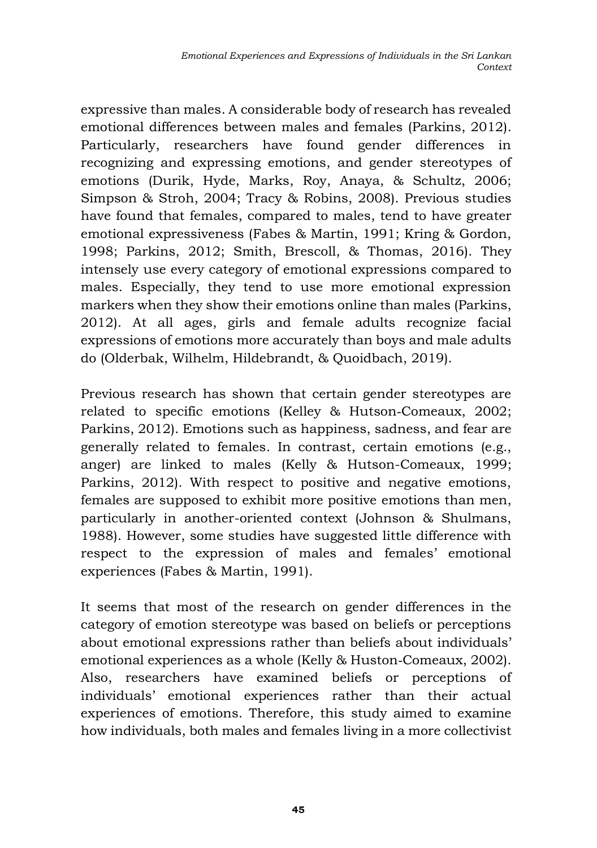expressive than males. A considerable body of research has revealed emotional differences between males and females (Parkins, 2012). Particularly, researchers have found gender differences in recognizing and expressing emotions, and gender stereotypes of emotions (Durik, Hyde, Marks, Roy, Anaya, & Schultz, 2006; Simpson & Stroh, 2004; Tracy & Robins, 2008). Previous studies have found that females, compared to males, tend to have greater emotional expressiveness (Fabes & Martin, 1991; Kring & Gordon, 1998; Parkins, 2012; Smith, Brescoll, & Thomas, 2016). They intensely use every category of emotional expressions compared to males. Especially, they tend to use more emotional expression markers when they show their emotions online than males (Parkins, 2012). At all ages, girls and female adults recognize facial expressions of emotions more accurately than boys and male adults do (Olderbak, Wilhelm, Hildebrandt, & Quoidbach, 2019).

Previous research has shown that certain gender stereotypes are related to specific emotions (Kelley & Hutson‐Comeaux, 2002; Parkins, 2012). Emotions such as happiness, sadness, and fear are generally related to females. In contrast, certain emotions (e.g., anger) are linked to males (Kelly & Hutson-Comeaux, 1999; Parkins, 2012). With respect to positive and negative emotions, females are supposed to exhibit more positive emotions than men, particularly in another-oriented context (Johnson & Shulmans, 1988). However, some studies have suggested little difference with respect to the expression of males and females' emotional experiences (Fabes & Martin, 1991).

It seems that most of the research on gender differences in the category of emotion stereotype was based on beliefs or perceptions about emotional expressions rather than beliefs about individuals' emotional experiences as a whole (Kelly & Huston‐Comeaux, 2002). Also, researchers have examined beliefs or perceptions of individuals' emotional experiences rather than their actual experiences of emotions. Therefore, this study aimed to examine how individuals, both males and females living in a more collectivist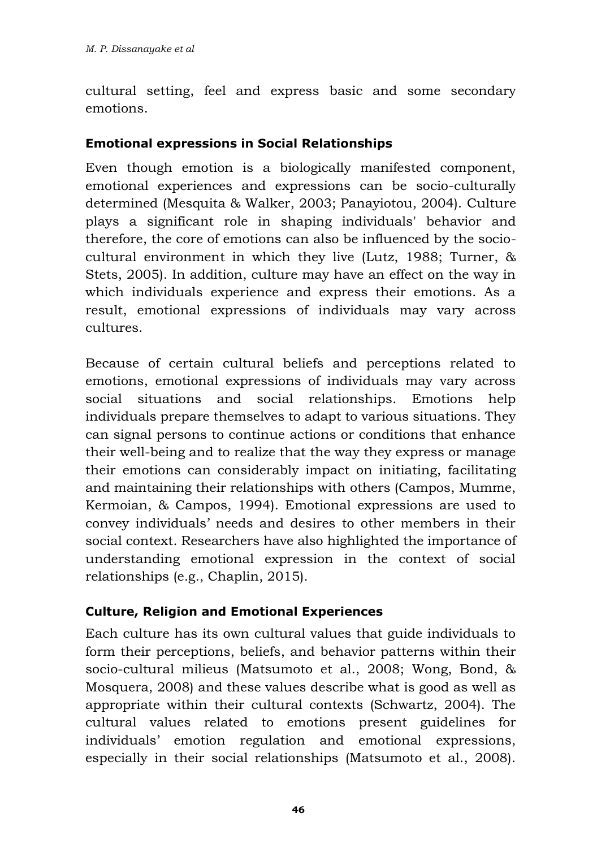cultural setting, feel and express basic and some secondary emotions.

#### **Emotional expressions in Social Relationships**

Even though emotion is a biologically manifested component, emotional experiences and expressions can be socio-culturally determined (Mesquita & Walker, 2003; Panayiotou, 2004). Culture plays a significant role in shaping individuals' behavior and therefore, the core of emotions can also be influenced by the sociocultural environment in which they live (Lutz, 1988; Turner, & Stets, 2005). In addition, culture may have an effect on the way in which individuals experience and express their emotions. As a result, emotional expressions of individuals may vary across cultures.

Because of certain cultural beliefs and perceptions related to emotions, emotional expressions of individuals may vary across social situations and social relationships. Emotions help individuals prepare themselves to adapt to various situations. They can signal persons to continue actions or conditions that enhance their well-being and to realize that the way they express or manage their emotions can considerably impact on initiating, facilitating and maintaining their relationships with others (Campos, Mumme, Kermoian, & Campos, 1994). Emotional expressions are used to convey individuals' needs and desires to other members in their social context. Researchers have also highlighted the importance of understanding emotional expression in the context of social relationships (e.g., Chaplin, 2015).

### **Culture, Religion and Emotional Experiences**

Each culture has its own cultural values that guide individuals to form their perceptions, beliefs, and behavior patterns within their socio-cultural milieus (Matsumoto et al., 2008; Wong, Bond, & Mosquera, 2008) and these values describe what is good as well as appropriate within their cultural contexts (Schwartz, 2004). The cultural values related to emotions present guidelines for individuals' emotion regulation and emotional expressions, especially in their social relationships (Matsumoto et al., 2008).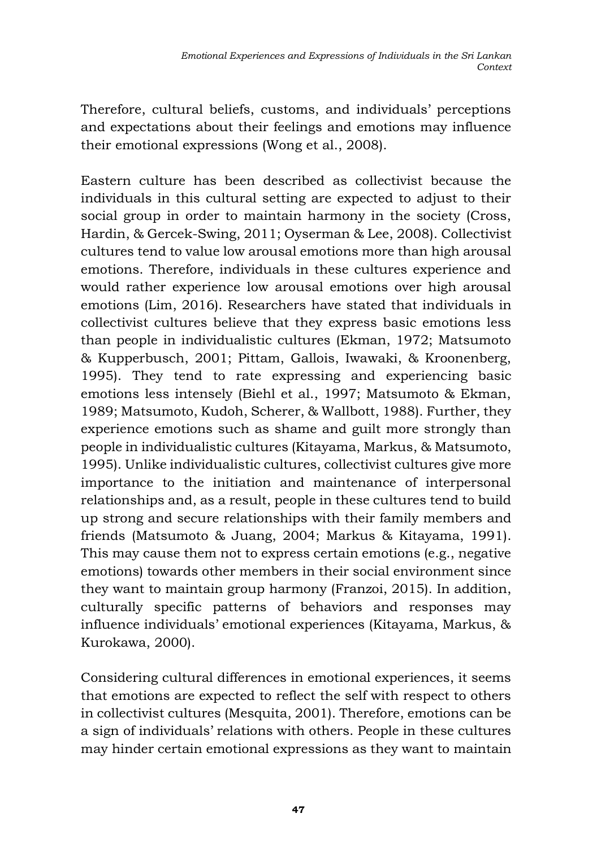Therefore, cultural beliefs, customs, and individuals' perceptions and expectations about their feelings and emotions may influence their emotional expressions (Wong et al., 2008).

Eastern culture has been described as collectivist because the individuals in this cultural setting are expected to adjust to their social group in order to maintain harmony in the society (Cross, Hardin, & Gercek-Swing, 2011; Oyserman & Lee, 2008). Collectivist cultures tend to value low arousal emotions more than high arousal emotions. Therefore, individuals in these cultures experience and would rather experience low arousal emotions over high arousal emotions (Lim, 2016). Researchers have stated that individuals in collectivist cultures believe that they express basic emotions less than people in individualistic cultures (Ekman, 1972; Matsumoto & Kupperbusch, 2001; Pittam, Gallois, Iwawaki, & Kroonenberg, 1995). They tend to rate expressing and experiencing basic emotions less intensely (Biehl et al., 1997; Matsumoto & Ekman, 1989; Matsumoto, Kudoh, Scherer, & Wallbott, 1988). Further, they experience emotions such as shame and guilt more strongly than people in individualistic cultures (Kitayama, Markus, & Matsumoto, 1995). Unlike individualistic cultures, collectivist cultures give more importance to the initiation and maintenance of interpersonal relationships and, as a result, people in these cultures tend to build up strong and secure relationships with their family members and friends (Matsumoto & Juang, 2004; Markus & Kitayama, 1991). This may cause them not to express certain emotions (e.g., negative emotions) towards other members in their social environment since they want to maintain group harmony (Franzoi, 2015). In addition, culturally specific patterns of behaviors and responses may influence individuals' emotional experiences (Kitayama, Markus, & Kurokawa, 2000).

Considering cultural differences in emotional experiences, it seems that emotions are expected to reflect the self with respect to others in collectivist cultures (Mesquita, 2001). Therefore, emotions can be a sign of individuals' relations with others. People in these cultures may hinder certain emotional expressions as they want to maintain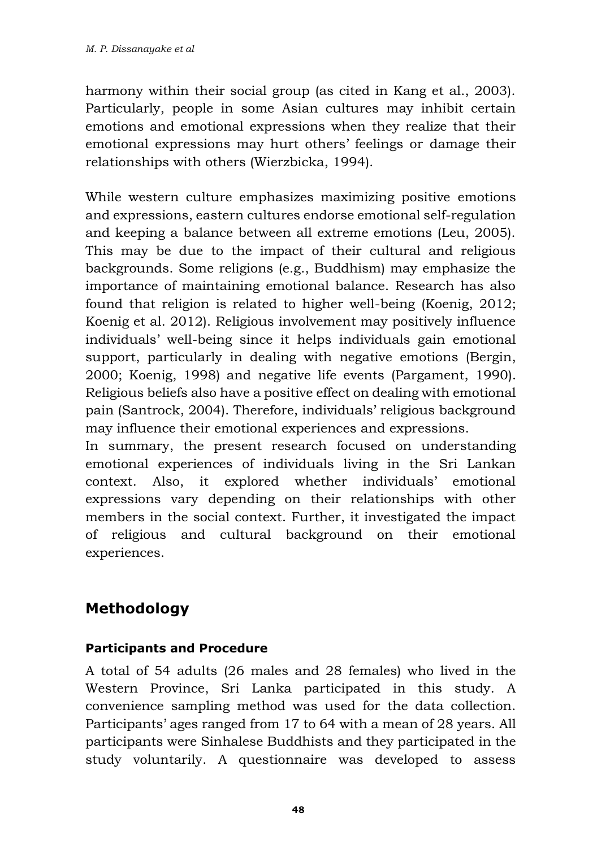harmony within their social group (as cited in Kang et al., 2003). Particularly, people in some Asian cultures may inhibit certain emotions and emotional expressions when they realize that their emotional expressions may hurt others' feelings or damage their relationships with others (Wierzbicka, 1994).

While western culture emphasizes maximizing positive emotions and expressions, eastern cultures endorse emotional self-regulation and keeping a balance between all extreme emotions (Leu, 2005). This may be due to the impact of their cultural and religious backgrounds. Some religions (e.g., Buddhism) may emphasize the importance of maintaining emotional balance. Research has also found that religion is related to higher well-being (Koenig, 2012; Koenig et al. 2012). Religious involvement may positively influence individuals' well-being since it helps individuals gain emotional support, particularly in dealing with negative emotions (Bergin, 2000; Koenig, 1998) and negative life events (Pargament, 1990). Religious beliefs also have a positive effect on dealing with emotional pain (Santrock, 2004). Therefore, individuals' religious background may influence their emotional experiences and expressions.

In summary, the present research focused on understanding emotional experiences of individuals living in the Sri Lankan context. Also, it explored whether individuals' emotional expressions vary depending on their relationships with other members in the social context. Further, it investigated the impact of religious and cultural background on their emotional experiences.

## **Methodology**

### **Participants and Procedure**

A total of 54 adults (26 males and 28 females) who lived in the Western Province, Sri Lanka participated in this study. A convenience sampling method was used for the data collection. Participants' ages ranged from 17 to 64 with a mean of 28 years. All participants were Sinhalese Buddhists and they participated in the study voluntarily. A questionnaire was developed to assess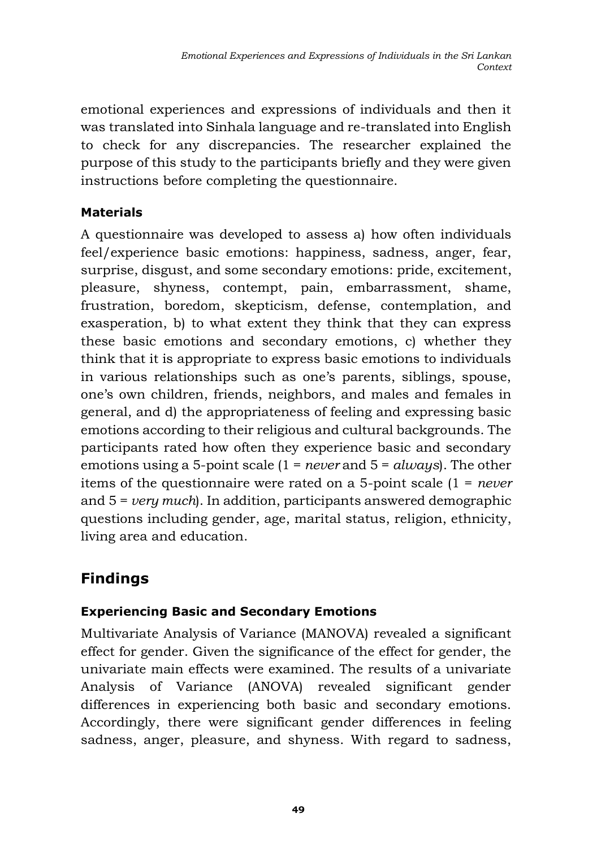emotional experiences and expressions of individuals and then it was translated into Sinhala language and re-translated into English to check for any discrepancies. The researcher explained the purpose of this study to the participants briefly and they were given instructions before completing the questionnaire.

## **Materials**

A questionnaire was developed to assess a) how often individuals feel/experience basic emotions: happiness, sadness, anger, fear, surprise, disgust, and some secondary emotions: pride, excitement, pleasure, shyness, contempt, pain, embarrassment, shame, frustration, boredom, skepticism, defense, contemplation, and exasperation, b) to what extent they think that they can express these basic emotions and secondary emotions, c) whether they think that it is appropriate to express basic emotions to individuals in various relationships such as one's parents, siblings, spouse, one's own children, friends, neighbors, and males and females in general, and d) the appropriateness of feeling and expressing basic emotions according to their religious and cultural backgrounds. The participants rated how often they experience basic and secondary emotions using a 5-point scale (1 = *never* and 5 = *always*). The other items of the questionnaire were rated on a 5-point scale (1 = *never*  and 5 = *very much*). In addition, participants answered demographic questions including gender, age, marital status, religion, ethnicity, living area and education.

# **Findings**

## **Experiencing Basic and Secondary Emotions**

Multivariate Analysis of Variance (MANOVA) revealed a significant effect for gender. Given the significance of the effect for gender, the univariate main effects were examined. The results of a univariate Analysis of Variance (ANOVA) revealed significant gender differences in experiencing both basic and secondary emotions. Accordingly, there were significant gender differences in feeling sadness, anger, pleasure, and shyness. With regard to sadness,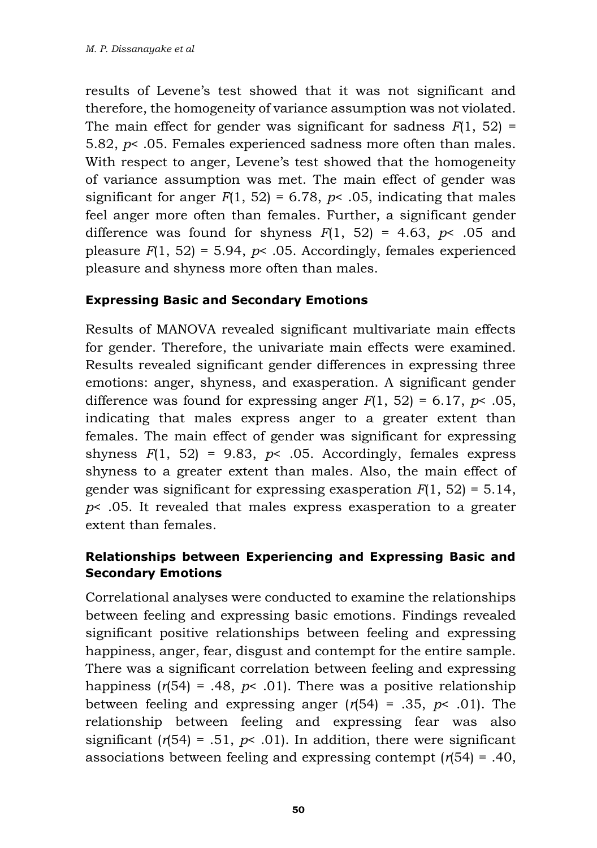results of Levene's test showed that it was not significant and therefore, the homogeneity of variance assumption was not violated. The main effect for gender was significant for sadness *F*(1, 52) = 5.82, *p*< .05. Females experienced sadness more often than males. With respect to anger, Levene's test showed that the homogeneity of variance assumption was met. The main effect of gender was significant for anger  $F(1, 52) = 6.78$ ,  $p \le 0.05$ , indicating that males feel anger more often than females. Further, a significant gender difference was found for shyness  $F(1, 52) = 4.63$ ,  $p \le .05$  and pleasure  $F(1, 52) = 5.94$ ,  $p \le 0.05$ . Accordingly, females experienced pleasure and shyness more often than males.

### **Expressing Basic and Secondary Emotions**

Results of MANOVA revealed significant multivariate main effects for gender. Therefore, the univariate main effects were examined. Results revealed significant gender differences in expressing three emotions: anger, shyness, and exasperation. A significant gender difference was found for expressing anger  $F(1, 52) = 6.17$ ,  $p \le 0.05$ , indicating that males express anger to a greater extent than females. The main effect of gender was significant for expressing shyness  $F(1, 52) = 9.83$ ,  $p \le .05$ . Accordingly, females express shyness to a greater extent than males. Also, the main effect of gender was significant for expressing exasperation  $F(1, 52) = 5.14$ ,  $p$ < .05. It revealed that males express exasperation to a greater extent than females.

### **Relationships between Experiencing and Expressing Basic and Secondary Emotions**

Correlational analyses were conducted to examine the relationships between feeling and expressing basic emotions. Findings revealed significant positive relationships between feeling and expressing happiness, anger, fear, disgust and contempt for the entire sample. There was a significant correlation between feeling and expressing happiness  $(r(54) = .48, p< .01)$ . There was a positive relationship between feeling and expressing anger  $(r(54) = .35, p \lt .01)$ . The relationship between feeling and expressing fear was also significant  $(r(54) = .51, p \le .01)$ . In addition, there were significant associations between feeling and expressing contempt  $(r(54) = .40)$ ,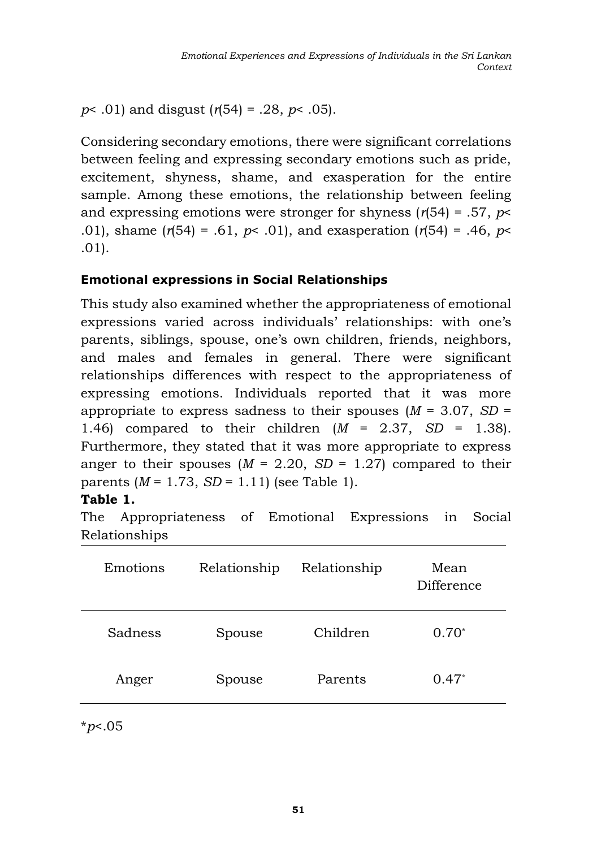*p*< .01) and disgust (*r*(54) = .28, *p*< .05).

Considering secondary emotions, there were significant correlations between feeling and expressing secondary emotions such as pride, excitement, shyness, shame, and exasperation for the entire sample. Among these emotions, the relationship between feeling and expressing emotions were stronger for shyness  $(r(54) = .57, p<$ .01), shame (*r*(54) = .61, *p*< .01), and exasperation (*r*(54) = .46, *p*< .01).

### **Emotional expressions in Social Relationships**

This study also examined whether the appropriateness of emotional expressions varied across individuals' relationships: with one's parents, siblings, spouse, one's own children, friends, neighbors, and males and females in general. There were significant relationships differences with respect to the appropriateness of expressing emotions. Individuals reported that it was more appropriate to express sadness to their spouses  $(M = 3.07, SD =$ 1.46) compared to their children (*M* = 2.37, *SD* = 1.38). Furthermore, they stated that it was more appropriate to express anger to their spouses  $(M = 2.20, SD = 1.27)$  compared to their parents (*M* = 1.73, *SD* = 1.11) (see Table 1).

### **Table 1.**

The Appropriateness of Emotional Expressions in Social Relationships

| Emotions | Relationship | Relationship | Mean<br>Difference |
|----------|--------------|--------------|--------------------|
| Sadness  | Spouse       | Children     | $0.70^*$           |
| Anger    | Spouse       | Parents      | $0.47*$            |

\**p*<.05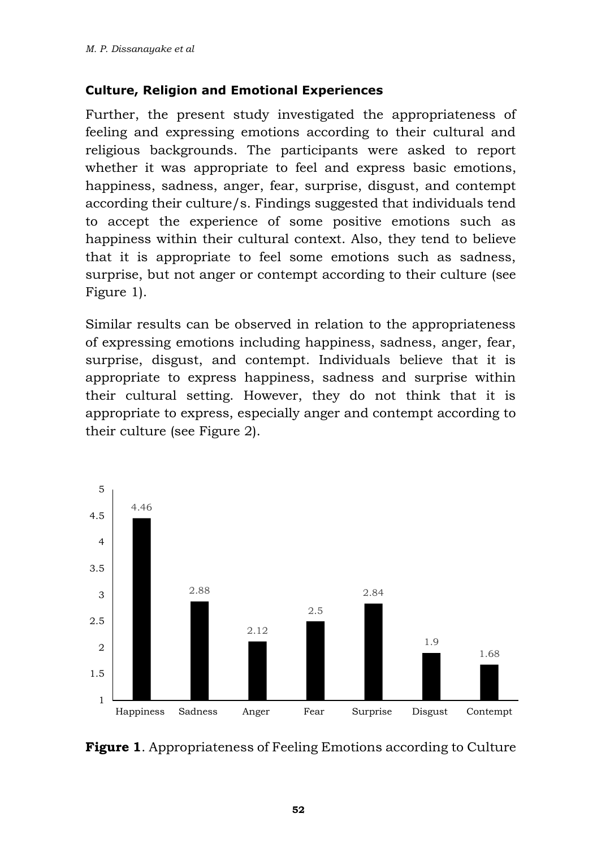### **Culture, Religion and Emotional Experiences**

Further, the present study investigated the appropriateness of feeling and expressing emotions according to their cultural and religious backgrounds. The participants were asked to report whether it was appropriate to feel and express basic emotions, happiness, sadness, anger, fear, surprise, disgust, and contempt according their culture/s. Findings suggested that individuals tend to accept the experience of some positive emotions such as happiness within their cultural context. Also, they tend to believe that it is appropriate to feel some emotions such as sadness, surprise, but not anger or contempt according to their culture (see Figure 1).

Similar results can be observed in relation to the appropriateness of expressing emotions including happiness, sadness, anger, fear, surprise, disgust, and contempt. Individuals believe that it is appropriate to express happiness, sadness and surprise within their cultural setting. However, they do not think that it is appropriate to express, especially anger and contempt according to their culture (see Figure 2).



**Figure 1**. Appropriateness of Feeling Emotions according to Culture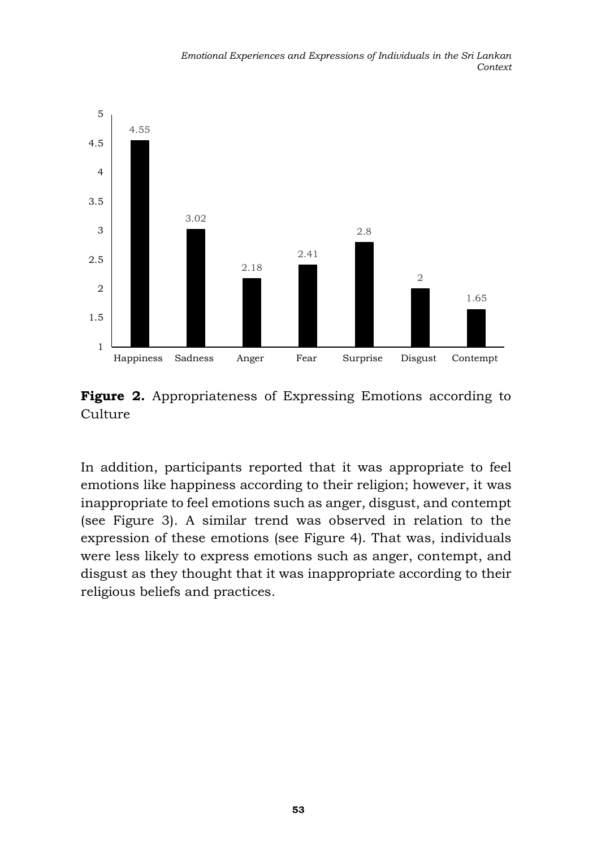

**Figure 2.** Appropriateness of Expressing Emotions according to Culture

In addition, participants reported that it was appropriate to feel emotions like happiness according to their religion; however, it was inappropriate to feel emotions such as anger, disgust, and contempt (see Figure 3). A similar trend was observed in relation to the expression of these emotions (see Figure 4). That was, individuals were less likely to express emotions such as anger, contempt, and disgust as they thought that it was inappropriate according to their religious beliefs and practices.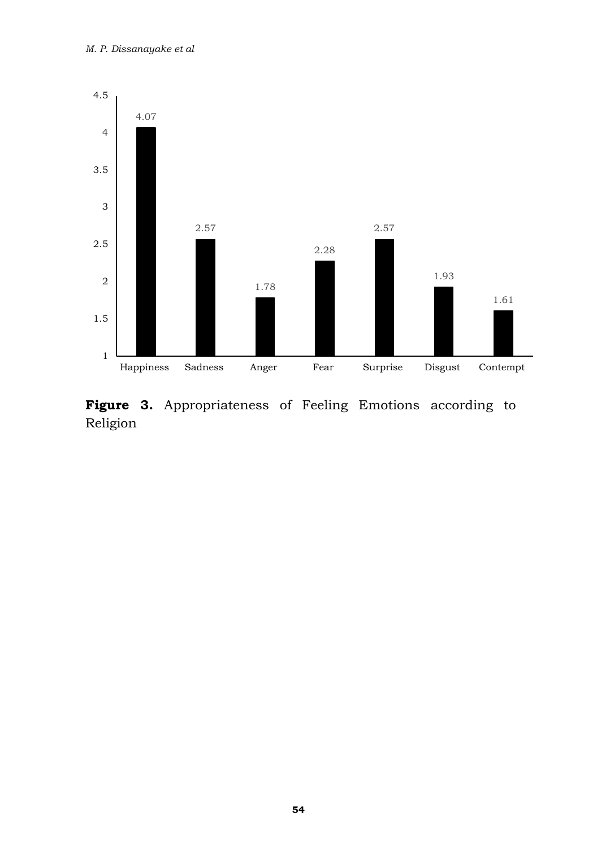

**Figure 3.** Appropriateness of Feeling Emotions according to Religion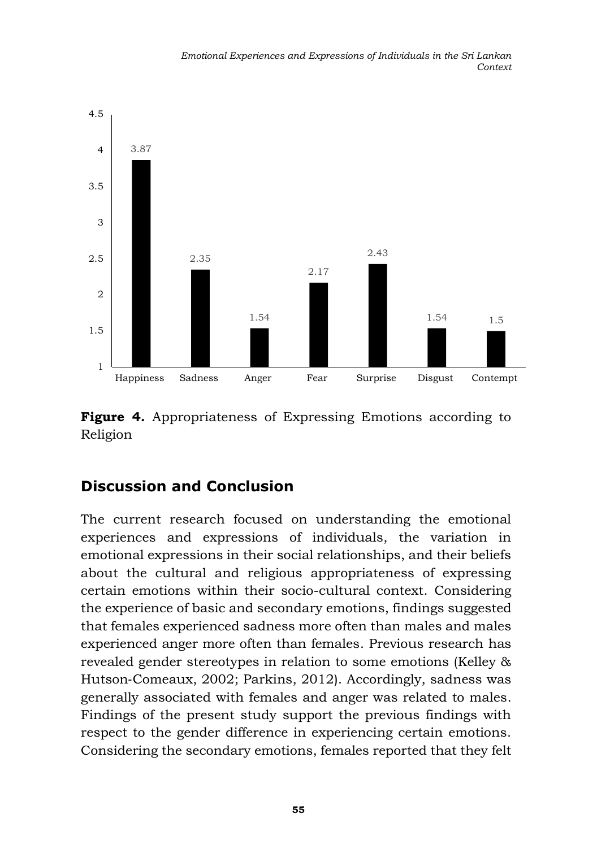

**Figure 4.** Appropriateness of Expressing Emotions according to Religion

# **Discussion and Conclusion**

The current research focused on understanding the emotional experiences and expressions of individuals, the variation in emotional expressions in their social relationships, and their beliefs about the cultural and religious appropriateness of expressing certain emotions within their socio-cultural context. Considering the experience of basic and secondary emotions, findings suggested that females experienced sadness more often than males and males experienced anger more often than females. Previous research has revealed gender stereotypes in relation to some emotions (Kelley & Hutson‐Comeaux, 2002; Parkins, 2012). Accordingly, sadness was generally associated with females and anger was related to males. Findings of the present study support the previous findings with respect to the gender difference in experiencing certain emotions. Considering the secondary emotions, females reported that they felt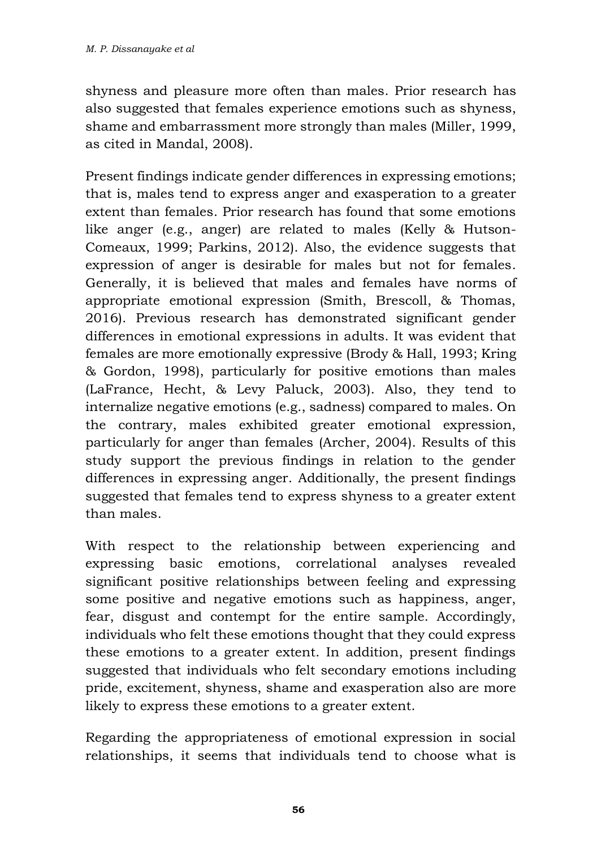shyness and pleasure more often than males. Prior research has also suggested that females experience emotions such as shyness, shame and embarrassment more strongly than males (Miller, 1999, as cited in Mandal, 2008).

Present findings indicate gender differences in expressing emotions; that is, males tend to express anger and exasperation to a greater extent than females. Prior research has found that some emotions like anger (e.g., anger) are related to males (Kelly & Hutson-Comeaux, 1999; Parkins, 2012). Also, the evidence suggests that expression of anger is desirable for males but not for females. Generally, it is believed that males and females have norms of appropriate emotional expression (Smith, Brescoll, & Thomas, 2016). Previous research has demonstrated significant gender differences in emotional expressions in adults. It was evident that females are more emotionally expressive [\(Brody & Hall, 1993;](https://www.ncbi.nlm.nih.gov/pmc/articles/PMC4469291/#R9) [Kring](https://www.ncbi.nlm.nih.gov/pmc/articles/PMC4469291/#R30)  [& Gordon, 1998\)](https://www.ncbi.nlm.nih.gov/pmc/articles/PMC4469291/#R30), particularly for positive emotions than males [\(LaFrance, Hecht, & Levy Paluck, 2003\)](https://www.ncbi.nlm.nih.gov/pmc/articles/PMC4469291/#R31). Also, they tend to internalize negative emotions (e.g., sadness) compared to males. On the contrary, males exhibited greater emotional expression, particularly for anger than females (Archer, 2004). Results of this study support the previous findings in relation to the gender differences in expressing anger. Additionally, the present findings suggested that females tend to express shyness to a greater extent than males.

With respect to the relationship between experiencing and expressing basic emotions, correlational analyses revealed significant positive relationships between feeling and expressing some positive and negative emotions such as happiness, anger, fear, disgust and contempt for the entire sample. Accordingly, individuals who felt these emotions thought that they could express these emotions to a greater extent. In addition, present findings suggested that individuals who felt secondary emotions including pride, excitement, shyness, shame and exasperation also are more likely to express these emotions to a greater extent.

Regarding the appropriateness of emotional expression in social relationships, it seems that individuals tend to choose what is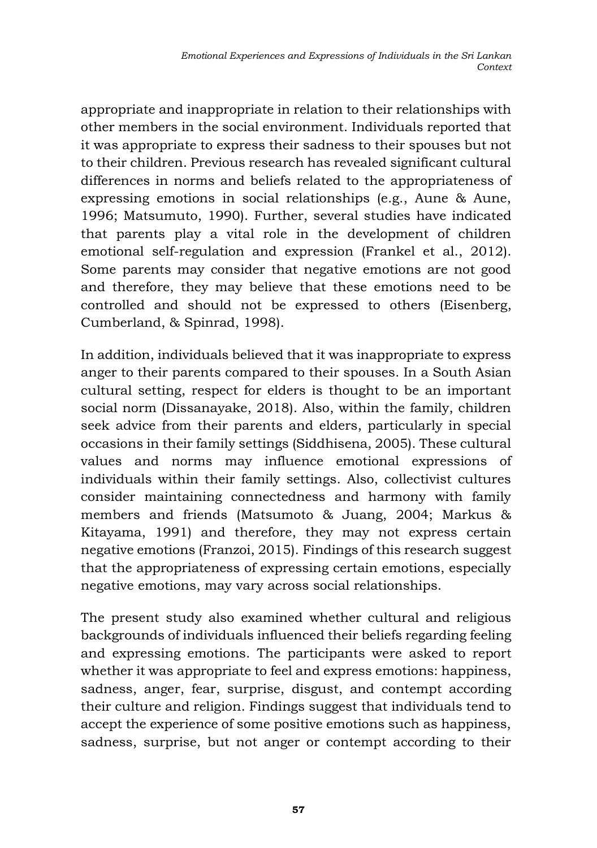appropriate and inappropriate in relation to their relationships with other members in the social environment. Individuals reported that it was appropriate to express their sadness to their spouses but not to their children. Previous research has revealed significant cultural differences in norms and beliefs related to the appropriateness of expressing emotions in social relationships (e.g., Aune & Aune, 1996; Matsumuto, 1990). Further, several studies have indicated that parents play a vital role in the development of children emotional self-regulation and expression (Frankel et al., 2012). Some parents may consider that negative emotions are not good and therefore, they may believe that these emotions need to be controlled and should not be expressed to others (Eisenberg, Cumberland, & Spinrad, 1998).

In addition, individuals believed that it was inappropriate to express anger to their parents compared to their spouses. In a South Asian cultural setting, respect for elders is thought to be an important social norm (Dissanayake, 2018). Also, within the family, children seek advice from their parents and elders, particularly in special occasions in their family settings (Siddhisena, 2005). These cultural values and norms may influence emotional expressions of individuals within their family settings. Also, collectivist cultures consider maintaining connectedness and harmony with family members and friends (Matsumoto & Juang, 2004; Markus & Kitayama, 1991) and therefore, they may not express certain negative emotions (Franzoi, 2015). Findings of this research suggest that the appropriateness of expressing certain emotions, especially negative emotions, may vary across social relationships.

The present study also examined whether cultural and religious backgrounds of individuals influenced their beliefs regarding feeling and expressing emotions. The participants were asked to report whether it was appropriate to feel and express emotions: happiness, sadness, anger, fear, surprise, disgust, and contempt according their culture and religion. Findings suggest that individuals tend to accept the experience of some positive emotions such as happiness, sadness, surprise, but not anger or contempt according to their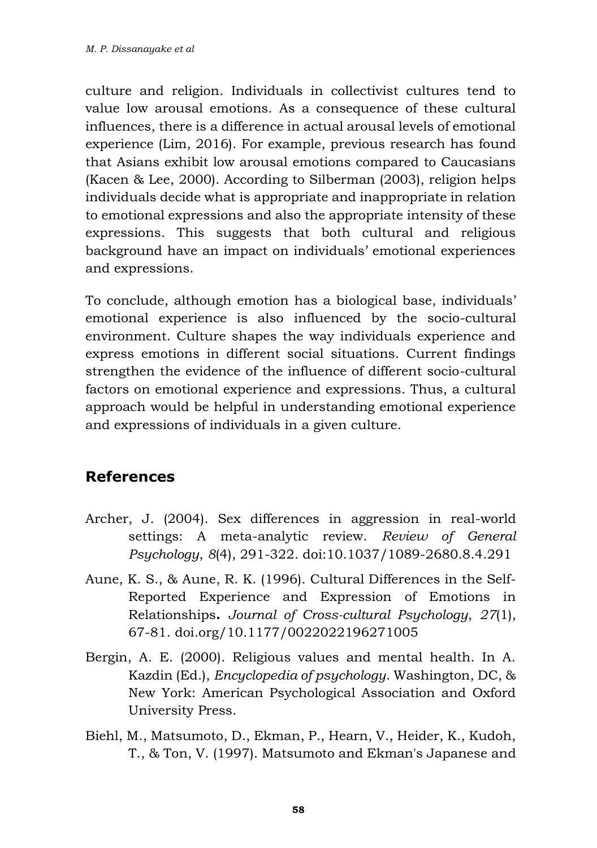culture and religion. Individuals in collectivist cultures tend to value low arousal emotions. As a consequence of these cultural influences, there is a difference in actual arousal levels of emotional experience (Lim, 2016). For example, previous research has found that Asians exhibit low arousal emotions compared to Caucasians (Kacen & Lee, 2000). According to Silberman (2003), religion helps individuals decide what is appropriate and inappropriate in relation to emotional expressions and also the appropriate intensity of these expressions. This suggests that both cultural and religious background have an impact on individuals' emotional experiences and expressions.

To conclude, although emotion has a biological base, individuals' emotional experience is also influenced by the socio-cultural environment. Culture shapes the way individuals experience and express emotions in different social situations. Current findings strengthen the evidence of the influence of different socio-cultural factors on emotional experience and expressions. Thus, a cultural approach would be helpful in understanding emotional experience and expressions of individuals in a given culture.

## **References**

- Archer, J. (2004). Sex differences in aggression in real-world settings: A meta-analytic review. *Review of General Psychology*, *8*(4), 291-322. doi:10.1037/1089-2680.8.4.291
- Aune, K. S., & Aune, R. K. (1996). Cultural Differences in the Self-Reported Experience and Expression of Emotions in Relationships**.** *Journal of Cross-cultural Psychology*, *27*(1), 67-81. [doi.org/10.1177/0022022196271005](https://doi.org/10.1177/0022022196271005)
- Bergin, A. E. (2000). Religious values and mental health. In A. Kazdin (Ed.), *Encyclopedia of psychology*. Washington, DC, & New York: American Psychological Association and Oxford University Press.
- Biehl, M., Matsumoto, D., Ekman, P., Hearn, V., Heider, K., Kudoh, T., & Ton, V. (1997). Matsumoto and Ekman's Japanese and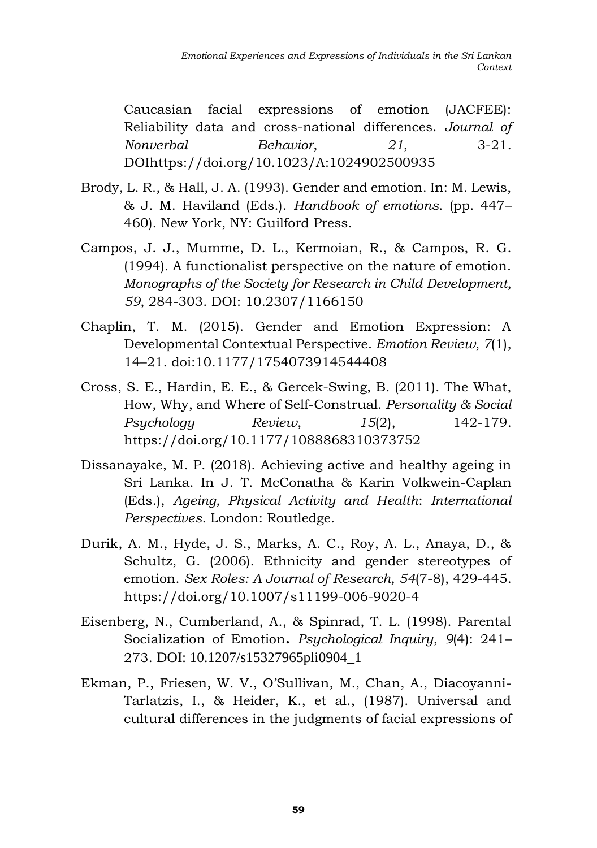Caucasian facial expressions of emotion (JACFEE): Reliability data and cross-national differences. *Journal of Nonverbal Behavior*, *21*, 3-21. DO[Ihttps://doi.org/10.1023/A:1024902500935](https://doi.org/10.1023/A:1024902500935)

- Brody, L. R., & Hall, J. A. (1993). Gender and emotion. In: M. Lewis, & J. M. Haviland (Eds.). *Handbook of emotions*. (pp. 447– 460). New York, NY: Guilford Press.
- Campos, J. J., Mumme, D. L., Kermoian, R., & Campos, R. G. (1994). A functionalist perspective on the nature of emotion. *Monographs of the Society for Research in Child Development*, *59*, 284-303. DOI: 10.2307/1166150
- Chaplin, T. M. (2015). Gender and Emotion Expression: A Developmental Contextual Perspective. *Emotion Review*, *7*(1), 14–21. doi:10.1177/1754073914544408
- Cross, S. E., Hardin, E. E., & Gercek-Swing, B. (2011). The What, How, Why, and Where of Self-Construal. *Personality & Social Psychology Review*, *15*(2), 142-179. [https://doi.org/10.1177/1088868310373752](https://doi.org/10.1177%2F1088868310373752)
- Dissanayake, M. P. (2018). Achieving active and healthy ageing in Sri Lanka. In J. T. McConatha & Karin Volkwein-Caplan (Eds.), *Ageing, Physical Activity and Health*: *International Perspectives*. London: Routledge.
- Durik, A. M., Hyde, J. S., Marks, A. C., Roy, A. L., Anaya, D., & Schultz, G. (2006). Ethnicity and gender stereotypes of emotion. *Sex Roles: A Journal of Research, 54*(7-8), 429-445. [https://doi.org/10.1007/s11199-006-9020-4](https://psycnet.apa.org/doi/10.1007/s11199-006-9020-4)
- Eisenberg, N., Cumberland, A., & Spinrad, T. L. (1998). Parental Socialization of Emotion**.** *Psychological Inquiry*, *9*(4): 241– 273. DOI: [10.1207/s15327965pli0904\\_1](https://doi.org/10.1207/s15327965pli0904_1)
- Ekman, P., Friesen, W. V., O'Sullivan, M., Chan, A., Diacoyanni-Tarlatzis, I., & Heider, K., et al., (1987). Universal and cultural differences in the judgments of facial expressions of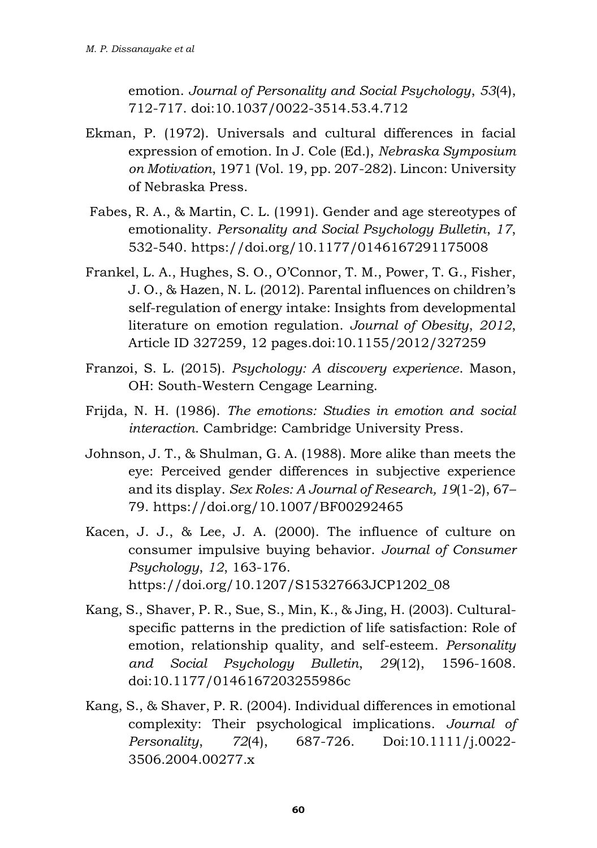emotion. *Journal of Personality and Social Psychology*, *53*(4), 712-717. doi:10.1037/0022-3514.53.4.712

- Ekman, P. (1972). Universals and cultural differences in facial expression of emotion. In J. Cole (Ed.), *Nebraska Symposium on Motivation*, 1971 (Vol. 19, pp. 207-282). Lincon: University of Nebraska Press.
- Fabes, R. A., & Martin, C. L. (1991). Gender and age stereotypes of emotionality. *Personality and Social Psychology Bulletin*, *17*, 532-540.<https://doi.org/10.1177/0146167291175008>
- Frankel, L. A., Hughes, S. O., O'Connor, T. M., Power, T. G., Fisher, J. O., & Hazen, N. L. (2012). Parental influences on children's self-regulation of energy intake: Insights from developmental literature on emotion regulation. *Journal of Obesity*, *2012*, Article ID 327259, 12 pages.doi:10.1155/2012/327259
- Franzoi, S. L. (2015). *Psychology: A discovery experience*. Mason, OH: South-Western Cengage Learning.
- Frijda, N. H. (1986). *The emotions: Studies in emotion and social interaction*. Cambridge: Cambridge University Press.
- Johnson, J. T., & Shulman, G. A. (1988). More alike than meets the eye: Perceived gender differences in subjective experience and its display. *Sex Roles: A Journal of Research, 19*(1-2), 67– 79. [https://doi.org/10.1007/BF00292465](https://psycnet.apa.org/doi/10.1007/BF00292465)
- Kacen, J. J., & Lee, J. A. (2000). The influence of culture on consumer impulsive buying behavior. *Journal of Consumer Psychology*, *12*, 163-176. [https://doi.org/10.1207/S15327663JCP1202\\_08](https://doi.org/10.1207/S15327663JCP1202_08)
- Kang, S., Shaver, P. R., Sue, S., Min, K., & Jing, H. (2003). Culturalspecific patterns in the prediction of life satisfaction: Role of emotion, relationship quality, and self-esteem. *Personality and Social Psychology Bulletin*, *29*(12), 1596-1608. doi:10.1177/0146167203255986c
- Kang, S., & Shaver, P. R. (2004). Individual differences in emotional complexity: Their psychological implications. *Journal of Personality*, *72*(4), 687-726. Doi:10.1111/j.0022- 3506.2004.00277.x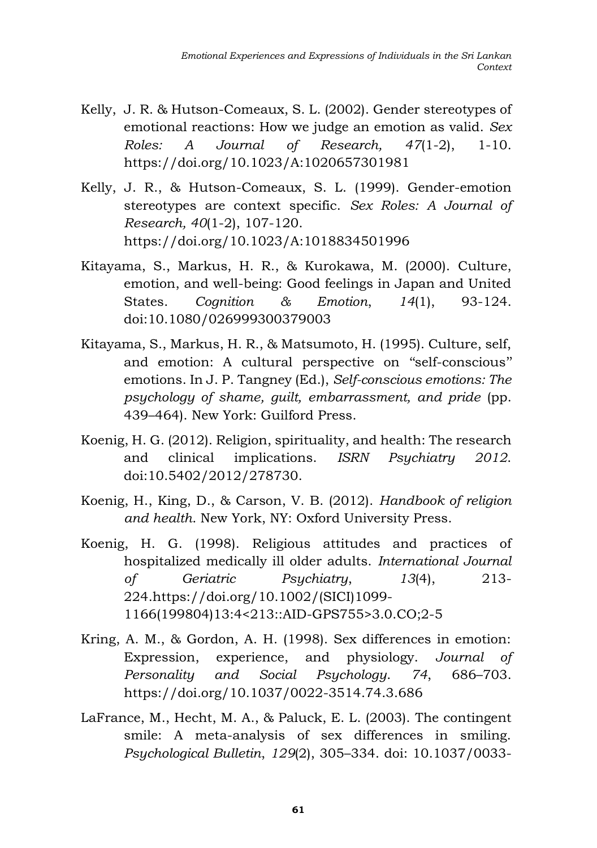- Kelly, J. R. & Hutson-Comeaux, S. L. (2002). Gender stereotypes of emotional reactions: How we judge an emotion as valid. *Sex Roles: A Journal of Research, 47*(1-2), 1-10. [https://doi.org/10.1023/A:1020657301981](https://psycnet.apa.org/doi/10.1023/A:1020657301981)
- Kelly, J. R., & Hutson-Comeaux, S. L. (1999). Gender-emotion stereotypes are context specific. *Sex Roles: A Journal of Research, 40*(1-2), 107-120. [https://doi.org/10.1023/A:1018834501996](https://psycnet.apa.org/doi/10.1023/A:1018834501996)
- Kitayama, S., Markus, H. R., & Kurokawa, M. (2000). Culture, emotion, and well-being: Good feelings in Japan and United States. *Cognition & Emotion*, *14*(1), 93-124. doi:10.1080/026999300379003
- Kitayama, S., Markus, H. R., & Matsumoto, H. (1995). Culture, self, and emotion: A cultural perspective on ''self-conscious'' emotions. In J. P. Tangney (Ed.), *Self-conscious emotions: The psychology of shame, guilt, embarrassment, and pride* (pp. 439–464). New York: Guilford Press.
- Koenig, H. G. (2012). Religion, spirituality, and health: The research and clinical implications. *ISRN Psychiatry 2012*. doi:10.5402/2012/278730.
- Koenig, H., King, D., & Carson, V. B. (2012). *Handbook of religion and health*. New York, NY: Oxford University Press.
- Koenig, H. G. (1998). Religious attitudes and practices of hospitalized medically ill older adults. *International Journal of Geriatric Psychiatry*, *13*(4), 213- 224[.https://doi.org/10.1002/\(SICI\)1099-](https://psycnet.apa.org/doi/10.1002/(SICI)1099-1166(199804)13:4%3C213::AID-GPS755%3E3.0.CO;2-5) [1166\(199804\)13:4<213::AID-GPS755>3.0.CO;2-5](https://psycnet.apa.org/doi/10.1002/(SICI)1099-1166(199804)13:4%3C213::AID-GPS755%3E3.0.CO;2-5)
- Kring, A. M., & Gordon, A. H. (1998). Sex differences in emotion: Expression, experience, and physiology. *Journal of Personality and Social Psychology*. *74*, 686–703. [https://doi.org/10.1037/0022-3514.74.3.686](https://psycnet.apa.org/doi/10.1037/0022-3514.74.3.686)
- LaFrance, M., Hecht, M. A., & Paluck, E. L. (2003). The contingent smile: A meta-analysis of sex differences in smiling. *Psychological Bulletin*, *129*(2), 305–334. doi: 10.1037/0033-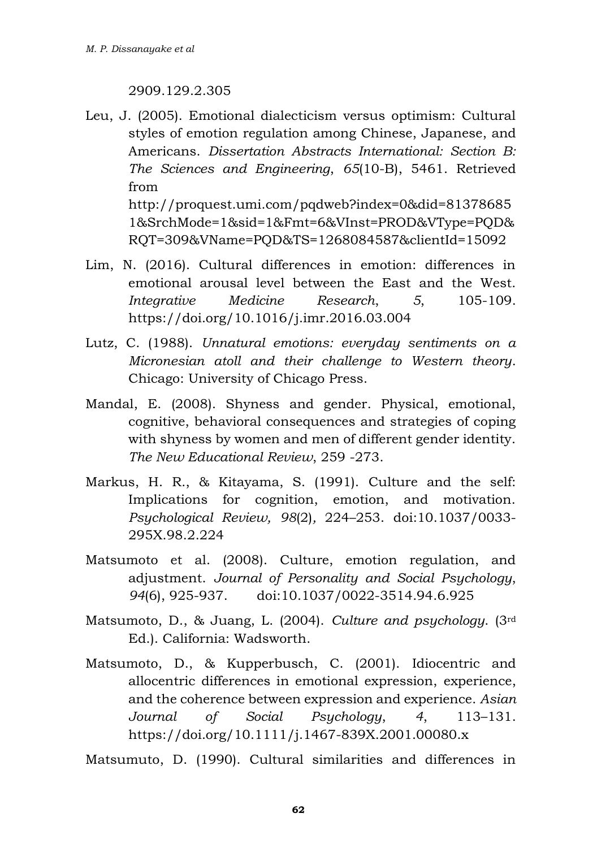2909.129.2.305

- Leu, J. (2005). Emotional dialecticism versus optimism: Cultural styles of emotion regulation among Chinese, Japanese, and Americans. *Dissertation Abstracts International: Section B: The Sciences and Engineering*, *65*(10-B), 5461. Retrieved from [http://proquest.umi.com/pqdweb?index=0&did=81378685](http://proquest.umi.com/pqdweb?index=0&did=813786851&SrchMode=1&sid=1&Fmt=6&VInst=PROD&VType=PQD&RQT=309&VName=PQD&TS=1268084587&clientId=15092) [1&SrchMode=1&sid=1&Fmt=6&VInst=PROD&VType=PQD&](http://proquest.umi.com/pqdweb?index=0&did=813786851&SrchMode=1&sid=1&Fmt=6&VInst=PROD&VType=PQD&RQT=309&VName=PQD&TS=1268084587&clientId=15092) [RQT=309&VName=PQD&TS=1268084587&clientId=15092](http://proquest.umi.com/pqdweb?index=0&did=813786851&SrchMode=1&sid=1&Fmt=6&VInst=PROD&VType=PQD&RQT=309&VName=PQD&TS=1268084587&clientId=15092)
- Lim, N. (2016). Cultural differences in emotion: differences in emotional arousal level between the East and the West. *Integrative Medicine Research*, *5*, 105-109. <https://doi.org/10.1016/j.imr.2016.03.004>
- Lutz, C. (1988). *Unnatural emotions: everyday sentiments on a Micronesian atoll and their challenge to Western theory*. Chicago: University of Chicago Press.
- Mandal, E. (2008). Shyness and gender. Physical, emotional, cognitive, behavioral consequences and strategies of coping with shyness by women and men of different gender identity. *The New Educational Review*, 259 -273.
- Markus, H. R., & Kitayama, S. (1991). Culture and the self: Implications for cognition, emotion, and motivation. *Psychological Review, 98*(2)*,* 224–253. doi:10.1037/0033- 295X.98.2.224
- Matsumoto et al. (2008). Culture, emotion regulation, and adjustment. *Journal of Personality and Social Psychology*, *94*(6), 925-937. doi:10.1037/0022-3514.94.6.925
- Matsumoto, D., & Juang, L. (2004). *Culture and psychology*. (3rd Ed.). California: Wadsworth.
- Matsumoto, D., & Kupperbusch, C. (2001). Idiocentric and allocentric differences in emotional expression, experience, and the coherence between expression and experience. *Asian Journal of Social Psychology*, *4*, 113–131. <https://doi.org/10.1111/j.1467-839X.2001.00080.x>

Matsumuto, D. (1990). Cultural similarities and differences in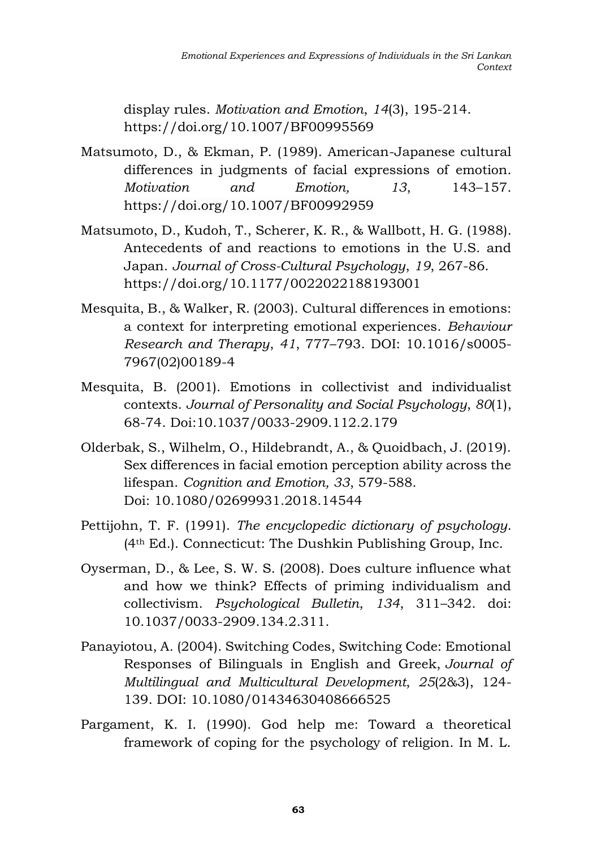display rules. *Motivation and Emotion*, *14*(3), 195-214. https://doi.org/10.1007/BF00995569

- Matsumoto, D., & Ekman, P. (1989). American-Japanese cultural differences in judgments of facial expressions of emotion. *Motivation and Emotion, 13*, 143–157. https://doi.org/10.1007/BF00992959
- Matsumoto, D., Kudoh, T., Scherer, K. R., & Wallbott, H. G. (1988). Antecedents of and reactions to emotions in the U.S. and Japan. *Journal of Cross-Cultural Psychology*, *19*, 267-86. [https://doi.org/10.1177/0022022188193001](https://psycnet.apa.org/doi/10.1177/0022022188193001)
- Mesquita, B., & Walker, R. (2003). Cultural differences in emotions: a context for interpreting emotional experiences. *Behaviour Research and Therapy*, *41*, 777–793. DOI: [10.1016/s0005-](https://doi.org/10.1016/s0005-7967(02)00189-4) [7967\(02\)00189-4](https://doi.org/10.1016/s0005-7967(02)00189-4)
- Mesquita, B. (2001). Emotions in collectivist and individualist contexts. *Journal of Personality and Social Psychology*, *80*(1), 68-74. Doi:10.1037/0033-2909.112.2.179
- Olderbak, S., Wilhelm, O., Hildebrandt, A., & Quoidbach, J. (2019). Sex differences in facial emotion perception ability across the lifespan. *Cognition and Emotion, 33*, 579-588. Doi: 10.1080/02699931.2018.14544
- Pettijohn, T. F. (1991). *The encyclopedic dictionary of psychology*. (4th Ed.). Connecticut: The Dushkin Publishing Group, Inc.
- Oyserman, D., & Lee, S. W. S. (2008). Does culture influence what and how we think? Effects of priming individualism and collectivism. *Psychological Bulletin*, *134*, 311–342. doi: 10.1037/0033-2909.134.2.311.
- Panayiotou, A. (2004). Switching Codes, Switching Code: Emotional Responses of Bilinguals in English and Greek, *Journal of Multilingual and Multicultural Development*, *25*(2&3), 124- 139. DOI: 10.1080/01434630408666525
- Pargament, K. I. (1990). God help me: Toward a theoretical framework of coping for the psychology of religion. In M. L.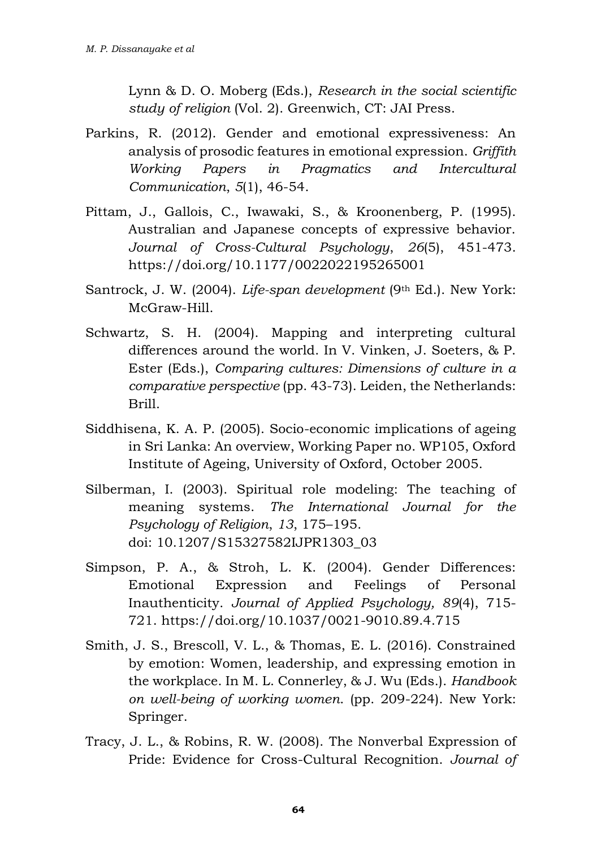Lynn & D. O. Moberg (Eds.), *Research in the social scientific study of religion* (Vol. 2). Greenwich, CT: JAI Press.

- Parkins, R. (2012). Gender and emotional expressiveness: An analysis of prosodic features in emotional expression. *Griffith Working Papers in Pragmatics and Intercultural Communication*, *5*(1), 46-54.
- Pittam, J., Gallois, C., Iwawaki, S., & Kroonenberg, P. (1995). Australian and Japanese concepts of expressive behavior. *Journal of Cross-Cultural Psychology*, *26*(5), 451-473. [https://doi.org/10.1177/0022022195265001](https://psycnet.apa.org/doi/10.1177/0022022195265001)
- Santrock, J. W. (2004). *Life-span development* (9th Ed.). New York: McGraw-Hill.
- Schwartz, S. H. (2004). Mapping and interpreting cultural differences around the world. In V. Vinken, J. Soeters, & P. Ester (Eds.), *Comparing cultures: Dimensions of culture in a comparative perspective* (pp. 43-73). Leiden, the Netherlands: Brill.
- Siddhisena, K. A. P. (2005). Socio-economic implications of ageing in Sri Lanka: An overview, Working Paper no. WP105, Oxford Institute of Ageing, University of Oxford, October 2005.
- Silberman, I. (2003). Spiritual role modeling: The teaching of meaning systems. *The International Journal for the Psychology of Religion*, *13*, 175–195. doi: 10.1207/S15327582IJPR1303\_03
- Simpson, P. A., & Stroh, L. K. (2004). Gender Differences: Emotional Expression and Feelings of Personal Inauthenticity. *Journal of Applied Psychology, 89*(4), 715- 721. [https://doi.org/10.1037/0021-9010.89.4.715](https://psycnet.apa.org/doi/10.1037/0021-9010.89.4.715)
- Smith, J. S., Brescoll, V. L., & Thomas, E. L. (2016). Constrained by emotion: Women, leadership, and expressing emotion in the workplace. In M. L. Connerley, & J. Wu (Eds.). *Handbook on well-being of working women*. (pp. 209-224). New York: Springer.
- Tracy, J. L., & Robins, R. W. (2008). The Nonverbal Expression of Pride: Evidence for Cross-Cultural Recognition. *Journal of*